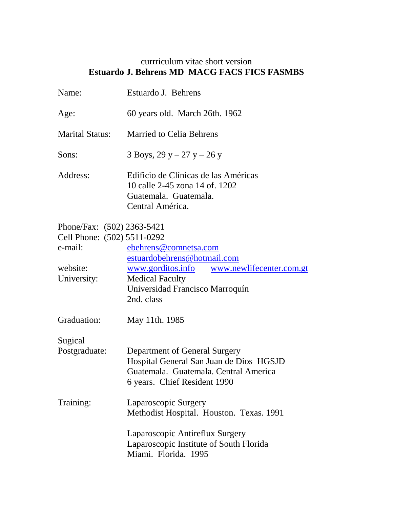## currriculum vitae short version **Estuardo J. Behrens MD MACG FACS FICS FASMBS**

| Name:                                                                | Estuardo J. Behrens                                                                                                                               |
|----------------------------------------------------------------------|---------------------------------------------------------------------------------------------------------------------------------------------------|
| Age:                                                                 | 60 years old. March 26th. 1962                                                                                                                    |
| <b>Marital Status:</b>                                               | <b>Married to Celia Behrens</b>                                                                                                                   |
| Sons:                                                                | 3 Boys, 29 y – 27 y – 26 y                                                                                                                        |
| Address:                                                             | Edificio de Clínicas de las Américas<br>10 calle 2-45 zona 14 of 1202<br>Guatemala. Guatemala.<br>Central América.                                |
| Phone/Fax: (502) 2363-5421<br>Cell Phone: (502) 5511-0292<br>e-mail: | ebehrens@comnetsa.com<br>estuardobehrens@hotmail.com                                                                                              |
| website:<br>University:                                              | www.gorditos.info www.newlifecenter.com.gt<br><b>Medical Faculty</b><br>Universidad Francisco Marroquín<br>2nd. class                             |
| Graduation:                                                          | May 11th. 1985                                                                                                                                    |
| Sugical<br>Postgraduate:                                             | Department of General Surgery<br>Hospital General San Juan de Dios HGSJD<br>Guatemala. Guatemala. Central America<br>6 years. Chief Resident 1990 |
| Training:                                                            | Laparoscopic Surgery<br>Methodist Hospital. Houston. Texas. 1991                                                                                  |
|                                                                      | Laparoscopic Antireflux Surgery<br>Laparoscopic Institute of South Florida<br>Miami. Florida. 1995                                                |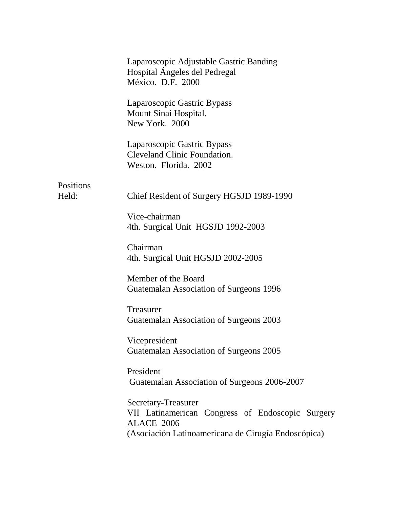|           | Laparoscopic Adjustable Gastric Banding<br>Hospital Ángeles del Pedregal<br>México. D.F. 2000                                                |
|-----------|----------------------------------------------------------------------------------------------------------------------------------------------|
|           | Laparoscopic Gastric Bypass<br>Mount Sinai Hospital.<br>New York. 2000                                                                       |
|           | Laparoscopic Gastric Bypass<br><b>Cleveland Clinic Foundation.</b><br>Weston. Florida. 2002                                                  |
| Positions |                                                                                                                                              |
| Held:     | Chief Resident of Surgery HGSJD 1989-1990                                                                                                    |
|           | Vice-chairman<br>4th. Surgical Unit HGSJD 1992-2003                                                                                          |
|           | Chairman<br>4th. Surgical Unit HGSJD 2002-2005                                                                                               |
|           | Member of the Board<br>Guatemalan Association of Surgeons 1996                                                                               |
|           | Treasurer<br>Guatemalan Association of Surgeons 2003                                                                                         |
|           | Vicepresident<br>Guatemalan Association of Surgeons 2005                                                                                     |
|           | President<br>Guatemalan Association of Surgeons 2006-2007                                                                                    |
|           | Secretary-Treasurer<br>VII Latinamerican Congress of Endoscopic Surgery<br>ALACE 2006<br>(Asociación Latinoamericana de Cirugía Endoscópica) |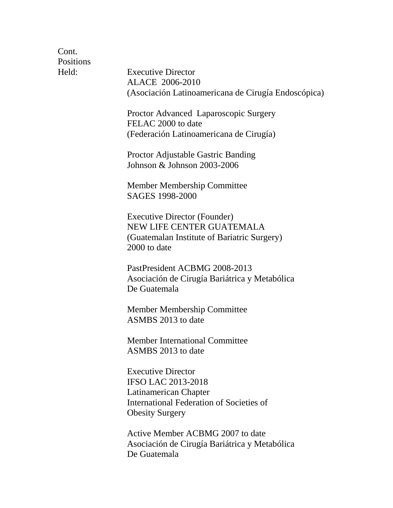Cont. Positions

Held: Executive Director ALACE 2006-2010 (Asociación Latinoamericana de Cirugía Endoscópica)

> Proctor Advanced Laparoscopic Surgery FELAC 2000 to date (Federación Latinoamericana de Cirugía)

Proctor Adjustable Gastric Banding Johnson & Johnson 2003-2006

Member Membership Committee SAGES 1998-2000

Executive Director (Founder) NEW LIFE CENTER GUATEMALA (Guatemalan Institute of Bariatric Surgery) 2000 to date

PastPresident ACBMG 2008-2013 Asociación de Cirugía Bariátrica y Metabólica De Guatemala

Member Membership Committee ASMBS 2013 to date

Member International Committee ASMBS 2013 to date

Executive Director IFSO LAC 2013-2018 Latinamerican Chapter International Federation of Societies of Obesity Surgery

Active Member ACBMG 2007 to date Asociación de Cirugía Bariátrica y Metabólica De Guatemala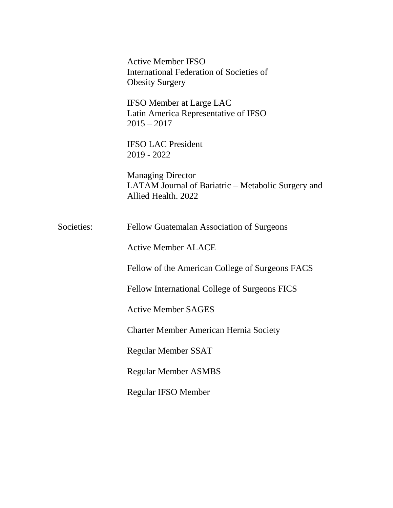|            | <b>Active Member IFSO</b><br>International Federation of Societies of<br><b>Obesity Surgery</b>       |
|------------|-------------------------------------------------------------------------------------------------------|
|            | <b>IFSO Member at Large LAC</b><br>Latin America Representative of IFSO<br>$2015 - 2017$              |
|            | <b>IFSO LAC President</b><br>$2019 - 2022$                                                            |
|            | <b>Managing Director</b><br>LATAM Journal of Bariatric – Metabolic Surgery and<br>Allied Health, 2022 |
| Societies: | Fellow Guatemalan Association of Surgeons                                                             |
|            | <b>Active Member ALACE</b>                                                                            |
|            | Fellow of the American College of Surgeons FACS                                                       |
|            | Fellow International College of Surgeons FICS                                                         |
|            | <b>Active Member SAGES</b>                                                                            |
|            | <b>Charter Member American Hernia Society</b>                                                         |
|            | <b>Regular Member SSAT</b>                                                                            |
|            | <b>Regular Member ASMBS</b>                                                                           |
|            | <b>Regular IFSO Member</b>                                                                            |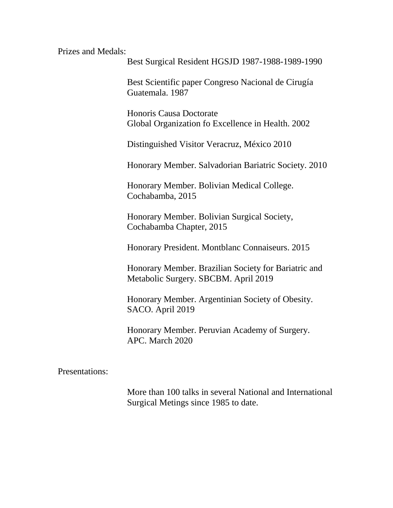Prizes and Medals:

Best Surgical Resident HGSJD 1987-1988-1989-1990

Best Scientific paper Congreso Nacional de Cirugía Guatemala. 1987

Honoris Causa Doctorate Global Organization fo Excellence in Health. 2002

Distinguished Visitor Veracruz, México 2010

Honorary Member. Salvadorian Bariatric Society. 2010

Honorary Member. Bolivian Medical College. Cochabamba, 2015

Honorary Member. Bolivian Surgical Society, Cochabamba Chapter, 2015

Honorary President. Montblanc Connaiseurs. 2015

Honorary Member. Brazilian Society for Bariatric and Metabolic Surgery. SBCBM. April 2019

Honorary Member. Argentinian Society of Obesity. SACO. April 2019

Honorary Member. Peruvian Academy of Surgery. APC. March 2020

Presentations:

More than 100 talks in several National and International Surgical Metings since 1985 to date.